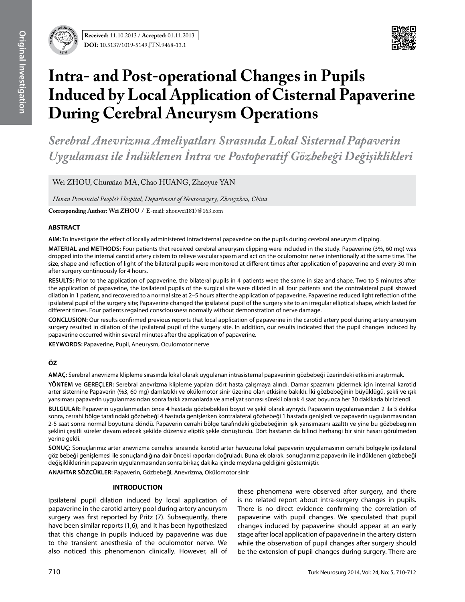

# **Intra- and Post-operational Changes in Pupils Induced by Local Application of Cisternal Papaverine During Cerebral Aneurysm Operations**

*Serebral Anevrizma Ameliyatları Sırasında Lokal Sisternal Papaverin Uygulaması ile İndüklenen İntra ve Postoperatif Gözbebeği Değişiklikleri*

Wei ZHOU, Chunxiao MA, Chao HUANG, Zhaoyue YAN

*Henan Provincial People's Hospital, Department of Neurosurgery, Zhengzhou, China*

**Corresponding Author: Wei Zhou /** E-mail: zhouwei1817@163.com

### **ABSTRACT**

**AIm:** To investigate the effect of locally administered intracisternal papaverine on the pupils during cerebral aneurysm clipping.

**MaterIal and Methods:** Four patients that received cerebral aneurysm clipping were included in the study. Papaverine (3%, 60 mg) was dropped into the internal carotid artery cistern to relieve vascular spasm and act on the oculomotor nerve intentionally at the same time. The size, shape and reflection of light of the bilateral pupils were monitored at different times after application of papaverine and every 30 min after surgery continuously for 4 hours.

**Results:** Prior to the application of papaverine, the bilateral pupils in 4 patients were the same in size and shape. Two to 5 minutes after the application of papaverine, the ipsilateral pupils of the surgical site were dilated in all four patients and the contralateral pupil showed dilation in 1 patient, and recovered to a normal size at 2–5 hours after the application of papaverine. Papaverine reduced light reflection of the ipsilateral pupil of the surgery site; Papaverine changed the ipsilateral pupil of the surgery site to an irregular elliptical shape, which lasted for different times. Four patients regained consciousness normally without demonstration of nerve damage.

**ConclusIon:** Our results confirmed previous reports that local application of papaverine in the carotid artery pool during artery aneurysm surgery resulted in dilation of the ipsilateral pupil of the surgery site. In addition, our results indicated that the pupil changes induced by papaverine occurred within several minutes after the application of papaverine.

**Keywords:** Papaverine, Pupil, Aneurysm, Oculomotor nerve

## **ÖZ**

**AMAÇ:** Serebral anevrizma klipleme sırasında lokal olarak uygulanan intrasisternal papaverinin gözbebeği üzerindeki etkisini araştırmak.

**YÖNTEM ve GEREÇLER:** Serebral anevrizma klipleme yapılan dört hasta çalışmaya alındı. Damar spazmını gidermek için internal karotid arter sisternine Papaverin (%3, 60 mg) damlatıldı ve okülomotor sinir üzerine olan etkisine bakıldı. İki gözbebeğinin büyüklüğü, şekli ve ışık yansıması papaverin uygulanmasından sonra farklı zamanlarda ve ameliyat sonrası sürekli olarak 4 saat boyunca her 30 dakikada bir izlendi.

**BULGULAR:** Papaverin uygulanmadan önce 4 hastada gözbebekleri boyut ve şekil olarak aynıydı. Papaverin uygulamasından 2 ila 5 dakika sonra, cerrahi bölge tarafındaki gözbebeği 4 hastada genişlerken kontralateral gözbebeği 1 hastada genişledi ve papaverin uygulanmasından 2-5 saat sonra normal boyutuna döndü. Papaverin cerrahi bölge tarafındaki gözbebeğinin ışık yansımasını azalttı ve yine bu gözbebeğinin şeklini çeşitli süreler devam edecek şekilde düzensiz eliptik şekle dönüştürdü. Dört hastanın da bilinci herhangi bir sinir hasarı görülmeden yerine geldi.

**SONUÇ:** Sonuçlarımız arter anevrizma cerrahisi sırasında karotid arter havuzuna lokal papaverin uygulamasının cerrahi bölgeyle ipsilateral göz bebeği genişlemesi ile sonuçlandığına dair önceki raporları doğruladı. Buna ek olarak, sonuçlarımız papaverin ile indüklenen gözbebeği değişikliklerinin papaverin uygulanmasından sonra birkaç dakika içinde meydana geldiğini göstermiştir.

**ANAHTAR SÖZCÜKLER:** Papaverin, Gözbebeği, Anevrizma, Okülomotor sinir

#### **INTRODUCTION**

Ipsilateral pupil dilation induced by local application of papaverine in the carotid artery pool during artery aneurysm surgery was first reported by Pritz (7). Subsequently, there have been similar reports (1,6), and it has been hypothesized that this change in pupils induced by papaverine was due to the transient anesthesia of the oculomotor nerve. We also noticed this phenomenon clinically. However, all of these phenomena were observed after surgery, and there is no related report about intra-surgery changes in pupils. There is no direct evidence confirming the correlation of papaverine with pupil changes. We speculated that pupil changes induced by papaverine should appear at an early stage after local application of papaverine in the artery cistern while the observation of pupil changes after surgery should be the extension of pupil changes during surgery. There are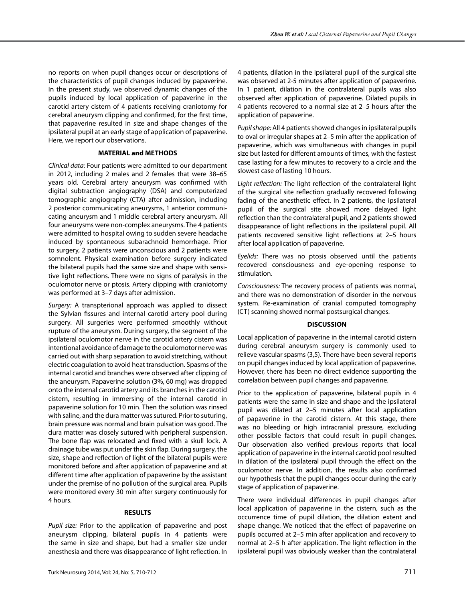no reports on when pupil changes occur or descriptions of the characteristics of pupil changes induced by papaverine. In the present study, we observed dynamic changes of the pupils induced by local application of papaverine in the carotid artery cistern of 4 patients receiving craniotomy for cerebral aneurysm clipping and confirmed, for the first time, that papaverine resulted in size and shape changes of the ipsilateral pupil at an early stage of application of papaverine. Here, we report our observations.

#### **MATERIAL and METHODS**

*Clinical data:* Four patients were admitted to our department in 2012, including 2 males and 2 females that were 38–65 years old. Cerebral artery aneurysm was confirmed with digital subtraction angiography (DSA) and computerized tomographic angiography (CTA) after admission, including 2 posterior communicating aneurysms, 1 anterior communicating aneurysm and 1 middle cerebral artery aneurysm. All four aneurysms were non-complex aneurysms. The 4 patients were admitted to hospital owing to sudden severe headache induced by spontaneous subarachnoid hemorrhage. Prior to surgery, 2 patients were unconscious and 2 patients were somnolent. Physical examination before surgery indicated the bilateral pupils had the same size and shape with sensitive light reflections. There were no signs of paralysis in the oculomotor nerve or ptosis. Artery clipping with craniotomy was performed at 3–7 days after admission.

*Surgery:* A transpterional approach was applied to dissect the Sylvian fissures and internal carotid artery pool during surgery. All surgeries were performed smoothly without rupture of the aneurysm. During surgery, the segment of the ipsilateral oculomotor nerve in the carotid artery cistern was intentional avoidance of damage to the oculomotor nerve was carried out with sharp separation to avoid stretching, without electric coagulation to avoid heat transduction. Spasms of the internal carotid and branches were observed after clipping of the aneurysm. Papaverine solution (3%, 60 mg) was dropped onto the internal carotid artery and its branches in the carotid cistern, resulting in immersing of the internal carotid in papaverine solution for 10 min. Then the solution was rinsed with saline, and the dura matter was sutured. Prior to suturing, brain pressure was normal and brain pulsation was good. The dura matter was closely sutured with peripheral suspension. The bone flap was relocated and fixed with a skull lock. A drainage tube was put under the skin flap. During surgery, the size, shape and reflection of light of the bilateral pupils were monitored before and after application of papaverine and at different time after application of papaverine by the assistant under the premise of no pollution of the surgical area. Pupils were monitored every 30 min after surgery continuously for 4 hours.

#### **RESULTS**

*Pupil size:* Prior to the application of papaverine and post aneurysm clipping, bilateral pupils in 4 patients were the same in size and shape, but had a smaller size under anesthesia and there was disappearance of light reflection. In 4 patients, dilation in the ipsilateral pupil of the surgical site was observed at 2-5 minutes after application of papaverine. In 1 patient, dilation in the contralateral pupils was also observed after application of papaverine. Dilated pupils in 4 patients recovered to a normal size at 2–5 hours after the application of papaverine.

*Pupil shape:* All 4 patients showed changes in ipsilateral pupils to oval or irregular shapes at 2–5 min after the application of papaverine, which was simultaneous with changes in pupil size but lasted for different amounts of times, with the fastest case lasting for a few minutes to recovery to a circle and the slowest case of lasting 10 hours.

*Light reflection:* The light reflection of the contralateral light of the surgical site reflection gradually recovered following fading of the anesthetic effect. In 2 patients, the ipsilateral pupil of the surgical site showed more delayed light reflection than the contralateral pupil, and 2 patients showed disappearance of light reflections in the ipsilateral pupil. All patients recovered sensitive light reflections at 2–5 hours after local application of papaverine.

*Eyelids:* There was no ptosis observed until the patients recovered consciousness and eye-opening response to stimulation.

*Consciousness:* The recovery process of patients was normal, and there was no demonstration of disorder in the nervous system. Re-examination of cranial computed tomography (CT) scanning showed normal postsurgical changes.

#### **DISCUSSION**

Local application of papaverine in the internal carotid cistern during cerebral aneurysm surgery is commonly used to relieve vascular spasms (3,5). There have been several reports on pupil changes induced by local application of papaverine. However, there has been no direct evidence supporting the correlation between pupil changes and papaverine.

Prior to the application of papaverine, bilateral pupils in 4 patients were the same in size and shape and the ipsilateral pupil was dilated at 2–5 minutes after local application of papaverine in the carotid cistern. At this stage, there was no bleeding or high intracranial pressure, excluding other possible factors that could result in pupil changes. Our observation also verified previous reports that local application of papaverine in the internal carotid pool resulted in dilation of the ipsilateral pupil through the effect on the oculomotor nerve. In addition, the results also confirmed our hypothesis that the pupil changes occur during the early stage of application of papaverine.

There were individual differences in pupil changes after local application of papaverine in the cistern, such as the occurrence time of pupil dilation, the dilation extent and shape change. We noticed that the effect of papaverine on pupils occurred at 2–5 min after application and recovery to normal at 2–5 h after application. The light reflection in the ipsilateral pupil was obviously weaker than the contralateral